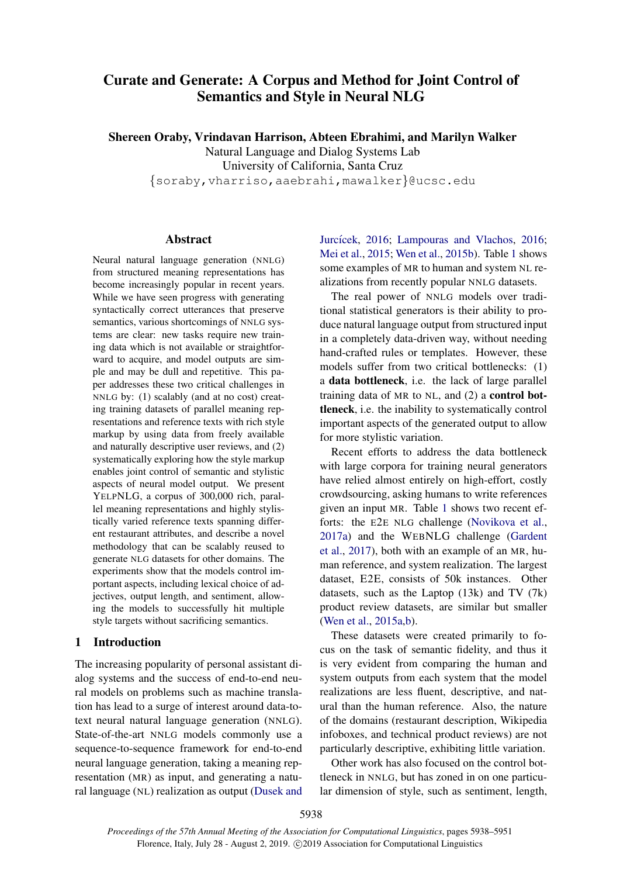# Curate and Generate: A Corpus and Method for Joint Control of Semantics and Style in Neural NLG

Shereen Oraby, Vrindavan Harrison, Abteen Ebrahimi, and Marilyn Walker Natural Language and Dialog Systems Lab University of California, Santa Cruz

{soraby,vharriso,aaebrahi,mawalker}@ucsc.edu

# Abstract

Neural natural language generation (NNLG) from structured meaning representations has become increasingly popular in recent years. While we have seen progress with generating syntactically correct utterances that preserve semantics, various shortcomings of NNLG systems are clear: new tasks require new training data which is not available or straightforward to acquire, and model outputs are simple and may be dull and repetitive. This paper addresses these two critical challenges in NNLG by: (1) scalably (and at no cost) creating training datasets of parallel meaning representations and reference texts with rich style markup by using data from freely available and naturally descriptive user reviews, and (2) systematically exploring how the style markup enables joint control of semantic and stylistic aspects of neural model output. We present YELPNLG, a corpus of 300,000 rich, parallel meaning representations and highly stylistically varied reference texts spanning different restaurant attributes, and describe a novel methodology that can be scalably reused to generate NLG datasets for other domains. The experiments show that the models control important aspects, including lexical choice of adjectives, output length, and sentiment, allowing the models to successfully hit multiple style targets without sacrificing semantics.

### 1 Introduction

The increasing popularity of personal assistant dialog systems and the success of end-to-end neural models on problems such as machine translation has lead to a surge of interest around data-totext neural natural language generation (NNLG). State-of-the-art NNLG models commonly use a sequence-to-sequence framework for end-to-end neural language generation, taking a meaning representation (MR) as input, and generating a natural language (NL) realization as output [\(Dusek and](#page-9-0)

Jurcícek, [2016;](#page-10-0) [Lampouras and Vlachos,](#page-10-0) 2016; [Mei et al.,](#page-10-1) [2015;](#page-10-1) [Wen et al.,](#page-10-2) [2015b\)](#page-10-2). Table [1](#page-1-0) shows some examples of MR to human and system NL realizations from recently popular NNLG datasets.

The real power of NNLG models over traditional statistical generators is their ability to produce natural language output from structured input in a completely data-driven way, without needing hand-crafted rules or templates. However, these models suffer from two critical bottlenecks: (1) a data bottleneck, i.e. the lack of large parallel training data of MR to NL, and (2) a control bottleneck, i.e. the inability to systematically control important aspects of the generated output to allow for more stylistic variation.

Recent efforts to address the data bottleneck with large corpora for training neural generators have relied almost entirely on high-effort, costly crowdsourcing, asking humans to write references given an input MR. Table [1](#page-1-0) shows two recent efforts: the E2E NLG challenge [\(Novikova et al.,](#page-10-3) [2017a\)](#page-10-3) and the WEBNLG challenge [\(Gardent](#page-9-1) [et al.,](#page-9-1) [2017\)](#page-9-1), both with an example of an MR, human reference, and system realization. The largest dataset, E2E, consists of 50k instances. Other datasets, such as the Laptop  $(13k)$  and TV  $(7k)$ product review datasets, are similar but smaller [\(Wen et al.,](#page-10-4) [2015a](#page-10-4)[,b\)](#page-10-2).

These datasets were created primarily to focus on the task of semantic fidelity, and thus it is very evident from comparing the human and system outputs from each system that the model realizations are less fluent, descriptive, and natural than the human reference. Also, the nature of the domains (restaurant description, Wikipedia infoboxes, and technical product reviews) are not particularly descriptive, exhibiting little variation.

Other work has also focused on the control bottleneck in NNLG, but has zoned in on one particular dimension of style, such as sentiment, length,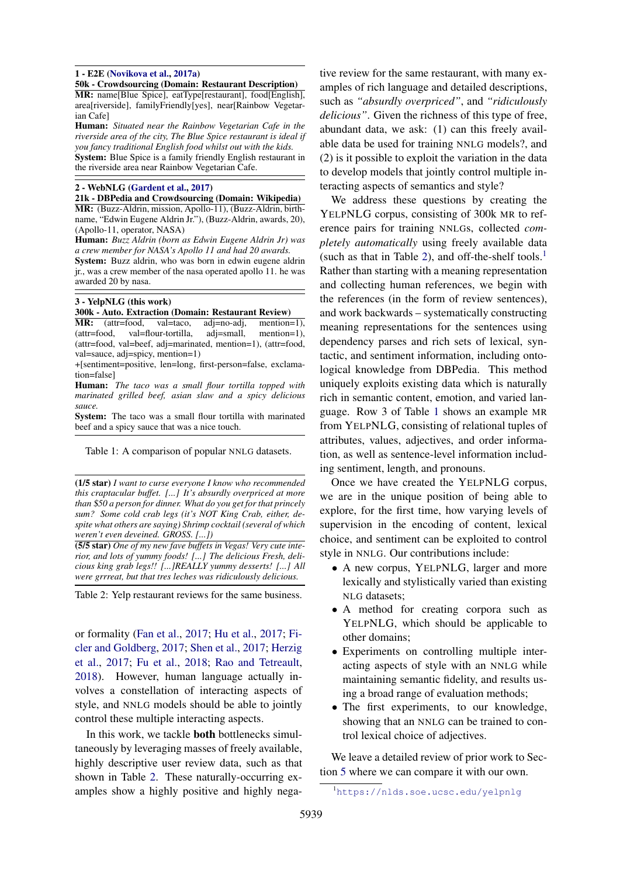#### <span id="page-1-0"></span>1 - E2E [\(Novikova et al.,](#page-10-3) [2017a\)](#page-10-3)

50k - Crowdsourcing (Domain: Restaurant Description)

MR: name[Blue Spice], eatType[restaurant], food[English], area[riverside], familyFriendly[yes], near[Rainbow Vegetarian Cafe]

Human: *Situated near the Rainbow Vegetarian Cafe in the riverside area of the city, The Blue Spice restaurant is ideal if you fancy traditional English food whilst out with the kids.* System: Blue Spice is a family friendly English restaurant in the riverside area near Rainbow Vegetarian Cafe.

#### 2 - WebNLG [\(Gardent et al.,](#page-9-1) [2017\)](#page-9-1)

21k - DBPedia and Crowdsourcing (Domain: Wikipedia) MR: (Buzz-Aldrin, mission, Apollo-11), (Buzz-Aldrin, birthname, "Edwin Eugene Aldrin Jr."), (Buzz-Aldrin, awards, 20), (Apollo-11, operator, NASA)

Human: *Buzz Aldrin (born as Edwin Eugene Aldrin Jr) was a crew member for NASA's Apollo 11 and had 20 awards.* System: Buzz aldrin, who was born in edwin eugene aldrin jr., was a crew member of the nasa operated apollo 11. he was awarded 20 by nasa.

#### 3 - YelpNLG (this work)

#### 300k - Auto. Extraction (Domain: Restaurant Review)

MR: (attr=food, val=taco, adj=no-adj, mention=1), (attr=food, val=flour-tortilla, adj=small, mention=1), (attr=food, val=beef, adj=marinated, mention=1), (attr=food, val=sauce, adj=spicy, mention=1)

+[sentiment=positive, len=long, first-person=false, exclamation=false]

Human: *The taco was a small flour tortilla topped with marinated grilled beef, asian slaw and a spicy delicious sauce.*

System: The taco was a small flour tortilla with marinated beef and a spicy sauce that was a nice touch.

Table 1: A comparison of popular NNLG datasets.

<span id="page-1-1"></span>(1/5 star) *I want to curse everyone I know who recommended this craptacular buffet. [...] It's absurdly overpriced at more than* \$*50 a person for dinner. What do you get for that princely sum? Some cold crab legs (it's NOT King Crab, either, despite what others are saying) Shrimp cocktail (several of which weren't even deveined. GROSS. [...])*

(5/5 star) *One of my new fave buffets in Vegas! Very cute interior, and lots of yummy foods! [...] The delicious Fresh, delicious king grab legs!! [...]REALLY yummy desserts! [...] All were grrreat, but that tres leches was ridiculously delicious.*

Table 2: Yelp restaurant reviews for the same business.

or formality [\(Fan et al.,](#page-9-2) [2017;](#page-9-2) [Hu et al.,](#page-9-3) [2017;](#page-9-3) [Fi](#page-9-4)[cler and Goldberg,](#page-9-4) [2017;](#page-9-4) [Shen et al.,](#page-10-5) [2017;](#page-10-5) [Herzig](#page-9-5) [et al.,](#page-9-5) [2017;](#page-9-5) [Fu et al.,](#page-9-6) [2018;](#page-9-6) [Rao and Tetreault,](#page-10-6) [2018\)](#page-10-6). However, human language actually involves a constellation of interacting aspects of style, and NNLG models should be able to jointly control these multiple interacting aspects.

In this work, we tackle both bottlenecks simultaneously by leveraging masses of freely available, highly descriptive user review data, such as that shown in Table [2.](#page-1-1) These naturally-occurring examples show a highly positive and highly nega-

tive review for the same restaurant, with many examples of rich language and detailed descriptions, such as *"absurdly overpriced"*, and *"ridiculously delicious"*. Given the richness of this type of free, abundant data, we ask: (1) can this freely available data be used for training NNLG models?, and (2) is it possible to exploit the variation in the data to develop models that jointly control multiple interacting aspects of semantics and style?

We address these questions by creating the YELPNLG corpus, consisting of 300k MR to reference pairs for training NNLGs, collected *completely automatically* using freely available data (such as that in Table [2\)](#page-1-1), and off-the-shelf tools.<sup>[1](#page-1-2)</sup> Rather than starting with a meaning representation and collecting human references, we begin with the references (in the form of review sentences), and work backwards – systematically constructing meaning representations for the sentences using dependency parses and rich sets of lexical, syntactic, and sentiment information, including ontological knowledge from DBPedia. This method uniquely exploits existing data which is naturally rich in semantic content, emotion, and varied language. Row 3 of Table [1](#page-1-0) shows an example MR from YELPNLG, consisting of relational tuples of attributes, values, adjectives, and order information, as well as sentence-level information including sentiment, length, and pronouns.

Once we have created the YELPNLG corpus, we are in the unique position of being able to explore, for the first time, how varying levels of supervision in the encoding of content, lexical choice, and sentiment can be exploited to control style in NNLG. Our contributions include:

- A new corpus, YELPNLG, larger and more lexically and stylistically varied than existing NLG datasets;
- A method for creating corpora such as YELPNLG, which should be applicable to other domains;
- Experiments on controlling multiple interacting aspects of style with an NNLG while maintaining semantic fidelity, and results using a broad range of evaluation methods;
- The first experiments, to our knowledge, showing that an NNLG can be trained to control lexical choice of adjectives.

We leave a detailed review of prior work to Section [5](#page-8-0) where we can compare it with our own.

<span id="page-1-2"></span><sup>1</sup><https://nlds.soe.ucsc.edu/yelpnlg>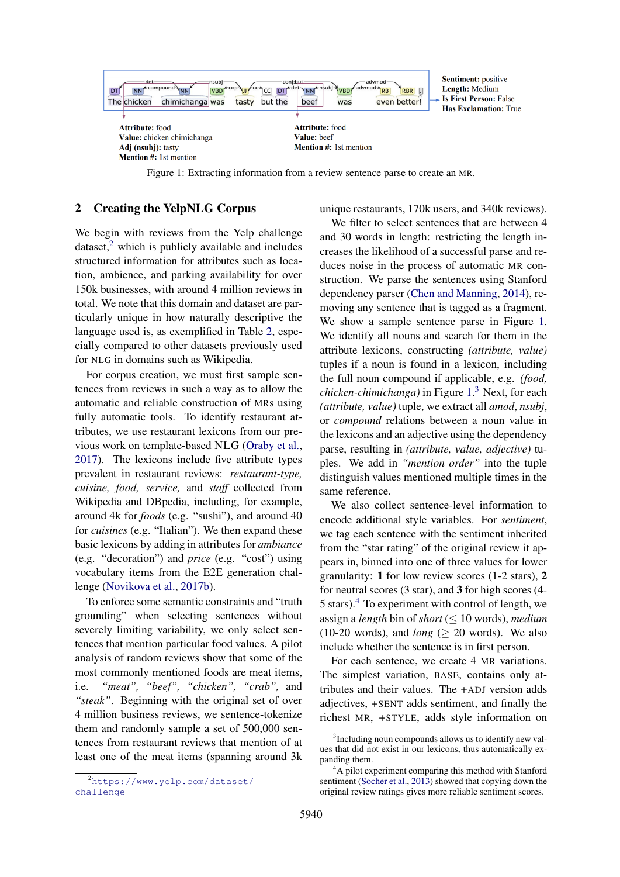<span id="page-2-1"></span>

Figure 1: Extracting information from a review sentence parse to create an MR.

# <span id="page-2-4"></span>2 Creating the YelpNLG Corpus

We begin with reviews from the Yelp challenge  $dataset<sub>z</sub><sup>2</sup>$  $dataset<sub>z</sub><sup>2</sup>$  $dataset<sub>z</sub><sup>2</sup>$  which is publicly available and includes structured information for attributes such as location, ambience, and parking availability for over 150k businesses, with around 4 million reviews in total. We note that this domain and dataset are particularly unique in how naturally descriptive the language used is, as exemplified in Table [2,](#page-1-1) especially compared to other datasets previously used for NLG in domains such as Wikipedia.

For corpus creation, we must first sample sentences from reviews in such a way as to allow the automatic and reliable construction of MRs using fully automatic tools. To identify restaurant attributes, we use restaurant lexicons from our previous work on template-based NLG [\(Oraby et al.,](#page-10-7) [2017\)](#page-10-7). The lexicons include five attribute types prevalent in restaurant reviews: *restaurant-type, cuisine, food, service,* and *staff* collected from Wikipedia and DBpedia, including, for example, around 4k for *foods* (e.g. "sushi"), and around 40 for *cuisines* (e.g. "Italian"). We then expand these basic lexicons by adding in attributes for *ambiance* (e.g. "decoration") and *price* (e.g. "cost") using vocabulary items from the E2E generation challenge [\(Novikova et al.,](#page-10-8) [2017b\)](#page-10-8).

To enforce some semantic constraints and "truth grounding" when selecting sentences without severely limiting variability, we only select sentences that mention particular food values. A pilot analysis of random reviews show that some of the most commonly mentioned foods are meat items, i.e. *"meat", "beef", "chicken", "crab",* and *"steak"*. Beginning with the original set of over 4 million business reviews, we sentence-tokenize them and randomly sample a set of 500,000 sentences from restaurant reviews that mention of at least one of the meat items (spanning around 3k unique restaurants, 170k users, and 340k reviews).

We filter to select sentences that are between 4 and 30 words in length: restricting the length increases the likelihood of a successful parse and reduces noise in the process of automatic MR construction. We parse the sentences using Stanford dependency parser [\(Chen and Manning,](#page-9-7) [2014\)](#page-9-7), removing any sentence that is tagged as a fragment. We show a sample sentence parse in Figure [1.](#page-2-1) We identify all nouns and search for them in the attribute lexicons, constructing *(attribute, value)* tuples if a noun is found in a lexicon, including the full noun compound if applicable, e.g. *(food, chicken-chimichanga)* in Figure [1.](#page-2-1) [3](#page-2-2) Next, for each *(attribute, value)* tuple, we extract all *amod*, *nsubj*, or *compound* relations between a noun value in the lexicons and an adjective using the dependency parse, resulting in *(attribute, value, adjective)* tuples. We add in *"mention order"* into the tuple distinguish values mentioned multiple times in the same reference.

We also collect sentence-level information to encode additional style variables. For *sentiment*, we tag each sentence with the sentiment inherited from the "star rating" of the original review it appears in, binned into one of three values for lower granularity: 1 for low review scores (1-2 stars), 2 for neutral scores (3 star), and 3 for high scores (4- 5 stars).[4](#page-2-3) To experiment with control of length, we assign a *length* bin of *short* ( $\leq 10$  words), *medium*  $(10-20$  words), and *long* ( $> 20$  words). We also include whether the sentence is in first person.

For each sentence, we create 4 MR variations. The simplest variation, BASE, contains only attributes and their values. The +ADJ version adds adjectives, +SENT adds sentiment, and finally the richest MR, +STYLE, adds style information on

<span id="page-2-0"></span><sup>2</sup>[https://www.yelp.com/dataset/](https://www.yelp.com/dataset/challenge) [challenge](https://www.yelp.com/dataset/challenge)

<span id="page-2-2"></span><sup>&</sup>lt;sup>3</sup>Including noun compounds allows us to identify new values that did not exist in our lexicons, thus automatically expanding them.

<span id="page-2-3"></span><sup>&</sup>lt;sup>4</sup>A pilot experiment comparing this method with Stanford sentiment [\(Socher et al.,](#page-10-9) [2013\)](#page-10-9) showed that copying down the original review ratings gives more reliable sentiment scores.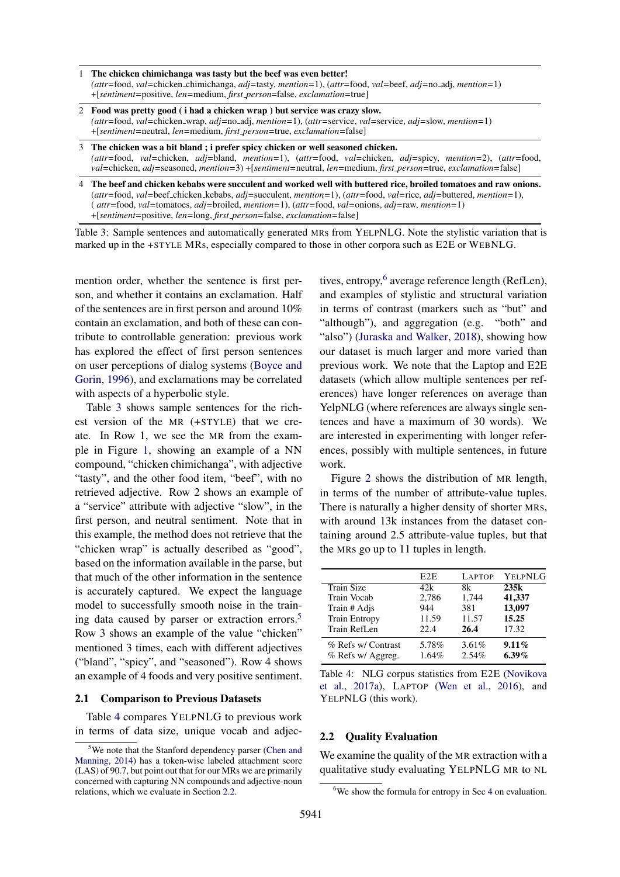- <span id="page-3-0"></span>1 The chicken chimichanga was tasty but the beef was even better! *(attr=*food, *val=*chicken chimichanga, *adj=*tasty, *mention=*1), (*attr=*food, *val=*beef, *adj=*no adj, *mention=*1) +[*sentiment=*positive, *len=*medium, *first person*=false, *exclamation=*true]
- 2 Food was pretty good ( i had a chicken wrap ) but service was crazy slow. *(attr=*food, *val=*chicken wrap, *adj=*no adj, *mention=*1), (*attr=*service, *val=*service, *adj=*slow, *mention=*1) +[*sentiment=*neutral, *len=*medium, *first person=*true, *exclamation=*false]
- 3 The chicken was a bit bland ; i prefer spicy chicken or well seasoned chicken. *(attr=*food, *val=*chicken, *adj=*bland, *mention=*1), (*attr=*food, *val=*chicken, *adj=*spicy, *mention=*2), (*attr=*food, *val=*chicken, *adj=*seasoned, *mention=*3) +[*sentiment=*neutral, *len=*medium, *first person=*true, *exclamation=*false]
- 4 The beef and chicken kebabs were succulent and worked well with buttered rice, broiled tomatoes and raw onions. (*attr=*food, *val=*beef chicken kebabs, *adj=*succulent, *mention=*1), (*attr=*food, *val=*rice, *adj=*buttered, *mention=*1), ( *attr=*food, *val=*tomatoes, *adj=*broiled, *mention=*1), (*attr=*food, *val=*onions, *adj=*raw, *mention=*1) +[*sentiment=*positive, *len=*long, *first person=*false, *exclamation=*false]

Table 3: Sample sentences and automatically generated MRs from YELPNLG. Note the stylistic variation that is marked up in the +STYLE MRs, especially compared to those in other corpora such as E2E or WEBNLG.

mention order, whether the sentence is first person, and whether it contains an exclamation. Half of the sentences are in first person and around 10% contain an exclamation, and both of these can contribute to controllable generation: previous work has explored the effect of first person sentences on user perceptions of dialog systems [\(Boyce and](#page-9-8) [Gorin,](#page-9-8) [1996\)](#page-9-8), and exclamations may be correlated with aspects of a hyperbolic style.

Table [3](#page-3-0) shows sample sentences for the richest version of the MR (+STYLE) that we create. In Row 1, we see the MR from the example in Figure [1,](#page-2-1) showing an example of a NN compound, "chicken chimichanga", with adjective "tasty", and the other food item, "beef", with no retrieved adjective. Row 2 shows an example of a "service" attribute with adjective "slow", in the first person, and neutral sentiment. Note that in this example, the method does not retrieve that the "chicken wrap" is actually described as "good", based on the information available in the parse, but that much of the other information in the sentence is accurately captured. We expect the language model to successfully smooth noise in the train-ing data caused by parser or extraction errors.<sup>[5](#page-3-1)</sup> Row 3 shows an example of the value "chicken" mentioned 3 times, each with different adjectives ("bland", "spicy", and "seasoned"). Row 4 shows an example of 4 foods and very positive sentiment.

#### 2.1 Comparison to Previous Datasets

Table [4](#page-3-2) compares YELPNLG to previous work in terms of data size, unique vocab and adjec-

tives, entropy,<sup>[6](#page-3-4)</sup> average reference length (RefLen), and examples of stylistic and structural variation in terms of contrast (markers such as "but" and "although"), and aggregation (e.g. "both" and "also") [\(Juraska and Walker,](#page-9-9) [2018\)](#page-9-9), showing how our dataset is much larger and more varied than previous work. We note that the Laptop and E2E datasets (which allow multiple sentences per references) have longer references on average than YelpNLG (where references are always single sentences and have a maximum of 30 words). We are interested in experimenting with longer references, possibly with multiple sentences, in future work.

Figure [2](#page-4-0) shows the distribution of MR length, in terms of the number of attribute-value tuples. There is naturally a higher density of shorter MRs, with around 13k instances from the dataset containing around 2.5 attribute-value tuples, but that the MRs go up to 11 tuples in length.

<span id="page-3-2"></span>

|                      | E <sub>2E</sub> | <b>LAPTOP</b> | YELPNLG  |
|----------------------|-----------------|---------------|----------|
| Train Size           | 42k             | 8k            | 235k     |
| <b>Train Vocab</b>   | 2,786           | 1,744         | 41,337   |
| Train # Adjs         | 944             | 381           | 13,097   |
| <b>Train Entropy</b> | 11.59           | 11.57         | 15.25    |
| Train RefLen         | 22.4            | 26.4          | 17.32    |
| % Refs w/ Contrast   | 5.78%           | 3.61%         | 9.11%    |
| % Refs w/ Aggreg.    | 1.64%           | 2.54%         | $6.39\%$ |

Table 4: NLG corpus statistics from E2E [\(Novikova](#page-10-3) [et al.,](#page-10-3) [2017a\)](#page-10-3), LAPTOP [\(Wen et al.,](#page-10-10) [2016\)](#page-10-10), and YELPNLG (this work).

### <span id="page-3-3"></span>2.2 Quality Evaluation

We examine the quality of the MR extraction with a qualitative study evaluating YELPNLG MR to NL

<span id="page-3-1"></span><sup>5</sup>We note that the Stanford dependency parser [\(Chen and](#page-9-7) [Manning,](#page-9-7) [2014\)](#page-9-7) has a token-wise labeled attachment score (LAS) of 90.7, but point out that for our MRs we are primarily concerned with capturing NN compounds and adjective-noun relations, which we evaluate in Section [2.2.](#page-3-3)

<span id="page-3-4"></span><sup>&</sup>lt;sup>6</sup>We show the formula for entropy in Sec [4](#page-5-0) on evaluation.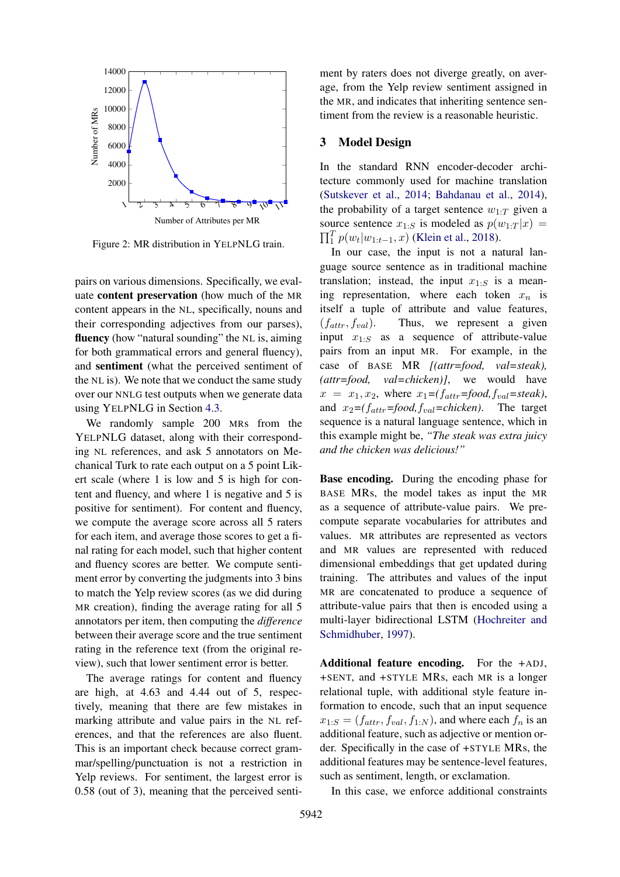<span id="page-4-0"></span>

Figure 2: MR distribution in YELPNLG train.

pairs on various dimensions. Specifically, we evaluate content preservation (how much of the MR content appears in the NL, specifically, nouns and their corresponding adjectives from our parses), fluency (how "natural sounding" the NL is, aiming for both grammatical errors and general fluency), and sentiment (what the perceived sentiment of the NL is). We note that we conduct the same study over our NNLG test outputs when we generate data using YELPNLG in Section [4.3.](#page-7-0)

We randomly sample 200 MRs from the YELPNLG dataset, along with their corresponding NL references, and ask 5 annotators on Mechanical Turk to rate each output on a 5 point Likert scale (where 1 is low and 5 is high for content and fluency, and where 1 is negative and 5 is positive for sentiment). For content and fluency, we compute the average score across all 5 raters for each item, and average those scores to get a final rating for each model, such that higher content and fluency scores are better. We compute sentiment error by converting the judgments into 3 bins to match the Yelp review scores (as we did during MR creation), finding the average rating for all 5 annotators per item, then computing the *difference* between their average score and the true sentiment rating in the reference text (from the original review), such that lower sentiment error is better.

The average ratings for content and fluency are high, at 4.63 and 4.44 out of 5, respectively, meaning that there are few mistakes in marking attribute and value pairs in the NL references, and that the references are also fluent. This is an important check because correct grammar/spelling/punctuation is not a restriction in Yelp reviews. For sentiment, the largest error is 0.58 (out of 3), meaning that the perceived senti-

ment by raters does not diverge greatly, on average, from the Yelp review sentiment assigned in the MR, and indicates that inheriting sentence sentiment from the review is a reasonable heuristic.

### 3 Model Design

In the standard RNN encoder-decoder architecture commonly used for machine translation [\(Sutskever et al.,](#page-10-11) [2014;](#page-10-11) [Bahdanau et al.,](#page-9-10) [2014\)](#page-9-10), the probability of a target sentence  $w_{1:T}$  given a source sentence  $x_{1:S}$  is modeled as  $p(w_{1:T} | x) =$  $\prod_{i=1}^{T} p(w_t|w_{1:t-1}, x)$  [\(Klein et al.,](#page-9-11) [2018\)](#page-9-11).

In our case, the input is not a natural language source sentence as in traditional machine translation; instead, the input  $x_{1:S}$  is a meaning representation, where each token  $x_n$  is itself a tuple of attribute and value features,  $(f_{attr}, f_{val})$ . Thus, we represent a given input  $x_{1:S}$  as a sequence of attribute-value pairs from an input MR. For example, in the case of BASE MR *[(attr=food, val=steak), (attr=food, val=chicken)]*, we would have  $x = x_1, x_2$ , where  $x_1 = (f_{attr} = food, f_{val} = steak)$ , and  $x_2 = (f_{attr} = food, f_{val} = chicken)$ . The target sequence is a natural language sentence, which in this example might be, *"The steak was extra juicy and the chicken was delicious!"*

Base encoding. During the encoding phase for BASE MRs, the model takes as input the MR as a sequence of attribute-value pairs. We precompute separate vocabularies for attributes and values. MR attributes are represented as vectors and MR values are represented with reduced dimensional embeddings that get updated during training. The attributes and values of the input MR are concatenated to produce a sequence of attribute-value pairs that then is encoded using a multi-layer bidirectional LSTM [\(Hochreiter and](#page-9-12) [Schmidhuber,](#page-9-12) [1997\)](#page-9-12).

Additional feature encoding. For the +ADJ, +SENT, and +STYLE MRs, each MR is a longer relational tuple, with additional style feature information to encode, such that an input sequence  $x_{1:S} = (f_{attr}, f_{val}, f_{1:N})$ , and where each  $f_n$  is an additional feature, such as adjective or mention order. Specifically in the case of +STYLE MRs, the additional features may be sentence-level features, such as sentiment, length, or exclamation.

In this case, we enforce additional constraints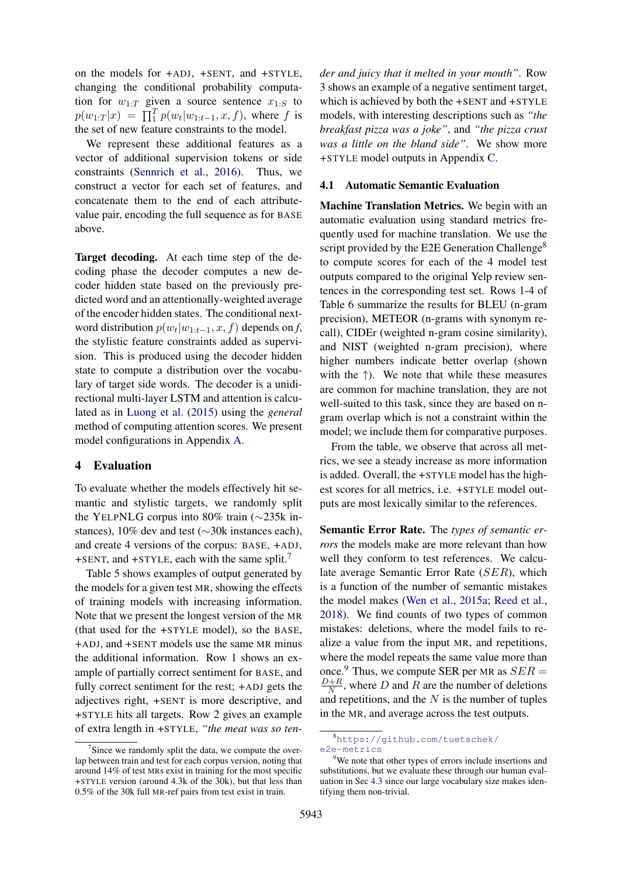on the models for +ADJ, +SENT, and +STYLE, changing the conditional probability computation for  $w_{1:T}$  given a source sentence  $x_{1:S}$  to  $p(w_{1:T}|x) = \prod_{i=1}^{T} p(w_t|w_{1:t-1}, x, f)$ , where f is the set of new feature constraints to the model.

We represent these additional features as a vector of additional supervision tokens or side constraints [\(Sennrich et al.,](#page-10-12) [2016\)](#page-10-12). Thus, we construct a vector for each set of features, and concatenate them to the end of each attributevalue pair, encoding the full sequence as for BASE above.

Target decoding. At each time step of the decoding phase the decoder computes a new decoder hidden state based on the previously predicted word and an attentionally-weighted average of the encoder hidden states. The conditional nextword distribution  $p(w_t|w_{1:t-1}, x, f)$  depends on *f*, the stylistic feature constraints added as supervision. This is produced using the decoder hidden state to compute a distribution over the vocabulary of target side words. The decoder is a unidirectional multi-layer LSTM and attention is calculated as in [Luong et al.](#page-10-13) [\(2015\)](#page-10-13) using the *general* method of computing attention scores. We present model configurations in Appendix [A.](#page-11-0)

### <span id="page-5-0"></span>4 Evaluation

To evaluate whether the models effectively hit semantic and stylistic targets, we randomly split the YELPNLG corpus into 80% train (∼235k instances), 10% dev and test (∼30k instances each), and create 4 versions of the corpus: BASE, +ADJ, +SENT, and +STYLE, each with the same split.<sup>[7](#page-5-1)</sup>

Table [5](#page-6-0) shows examples of output generated by the models for a given test MR, showing the effects of training models with increasing information. Note that we present the longest version of the MR (that used for the +STYLE model), so the BASE, +ADJ, and +SENT models use the same MR minus the additional information. Row 1 shows an example of partially correct sentiment for BASE, and fully correct sentiment for the rest; +ADJ gets the adjectives right, +SENT is more descriptive, and +STYLE hits all targets. Row 2 gives an example of extra length in +STYLE, *"the meat was so ten-* *der and juicy that it melted in your mouth"*. Row 3 shows an example of a negative sentiment target, which is achieved by both the +SENT and +STYLE models, with interesting descriptions such as *"the breakfast pizza was a joke"*, and *"the pizza crust was a little on the bland side"*. We show more +STYLE model outputs in Appendix [C.](#page-11-1)

#### 4.1 Automatic Semantic Evaluation

Machine Translation Metrics. We begin with an automatic evaluation using standard metrics frequently used for machine translation. We use the script provided by the E2E Generation Challenge<sup>[8](#page-5-2)</sup> to compute scores for each of the 4 model test outputs compared to the original Yelp review sentences in the corresponding test set. Rows 1-4 of Table [6](#page-6-1) summarize the results for BLEU (n-gram precision), METEOR (n-grams with synonym recall), CIDEr (weighted n-gram cosine similarity), and NIST (weighted n-gram precision), where higher numbers indicate better overlap (shown with the  $\uparrow$ ). We note that while these measures are common for machine translation, they are not well-suited to this task, since they are based on ngram overlap which is not a constraint within the model; we include them for comparative purposes.

From the table, we observe that across all metrics, we see a steady increase as more information is added. Overall, the +STYLE model has the highest scores for all metrics, i.e. +STYLE model outputs are most lexically similar to the references.

Semantic Error Rate. The *types of semantic errors* the models make are more relevant than how well they conform to test references. We calculate average Semantic Error Rate (SER), which is a function of the number of semantic mistakes the model makes [\(Wen et al.,](#page-10-4) [2015a;](#page-10-4) [Reed et al.,](#page-10-14) [2018\)](#page-10-14). We find counts of two types of common mistakes: deletions, where the model fails to realize a value from the input MR, and repetitions, where the model repeats the same value more than once.<sup>[9](#page-5-3)</sup> Thus, we compute SER per MR as  $SER =$  $D+R$  $\frac{N+R}{N}$ , where D and R are the number of deletions and repetitions, and the  $N$  is the number of tuples in the MR, and average across the test outputs.

<span id="page-5-1"></span><sup>&</sup>lt;sup>7</sup>Since we randomly split the data, we compute the overlap between train and test for each corpus version, noting that around 14% of test MRs exist in training for the most specific +STYLE version (around 4.3k of the 30k), but that less than 0.5% of the 30k full MR-ref pairs from test exist in train.

<span id="page-5-2"></span><sup>8</sup>[https://github.com/tuetschek/](https://github.com/tuetschek/e2e-metrics) [e2e-metrics](https://github.com/tuetschek/e2e-metrics)

<span id="page-5-3"></span><sup>&</sup>lt;sup>9</sup>We note that other types of errors include insertions and substitutions, but we evaluate these through our human evaluation in Sec [4.3](#page-7-0) since our large vocabulary size makes identifying them non-trivial.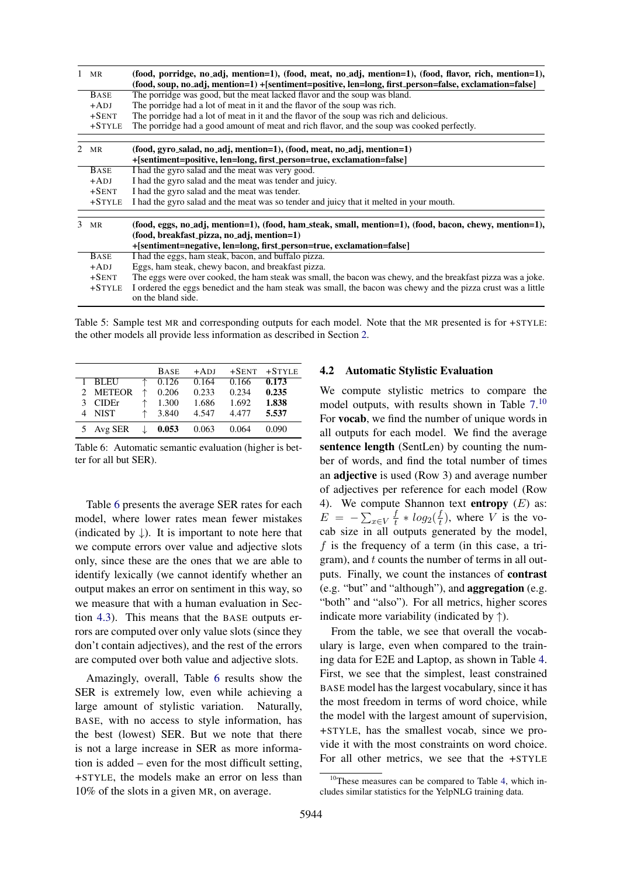<span id="page-6-0"></span>

| $1$ MR           | (food, porridge, no adj, mention=1), (food, meat, no adj, mention=1), (food, flavor, rich, mention=1),<br>(food, soup, no_adj, mention=1) +[sentiment=positive, len=long, first_person=false, exclamation=false] |  |  |  |  |  |
|------------------|------------------------------------------------------------------------------------------------------------------------------------------------------------------------------------------------------------------|--|--|--|--|--|
| <b>BASE</b>      | The porridge was good, but the meat lacked flavor and the soup was bland.                                                                                                                                        |  |  |  |  |  |
| $+ADJ$           | The portidge had a lot of meat in it and the flavor of the soup was rich.                                                                                                                                        |  |  |  |  |  |
| $+$ SENT         | The porridge had a lot of meat in it and the flavor of the soup was rich and delicious.                                                                                                                          |  |  |  |  |  |
| $+STYLE$         | The porridge had a good amount of meat and rich flavor, and the soup was cooked perfectly.                                                                                                                       |  |  |  |  |  |
| 2 MR             | (food, gyro_salad, no_adj, mention=1), (food, meat, no_adj, mention=1)                                                                                                                                           |  |  |  |  |  |
|                  | +[sentiment=positive, len=long, first_person=true, exclamation=false]                                                                                                                                            |  |  |  |  |  |
| <b>BASE</b>      | I had the gyro salad and the meat was very good.                                                                                                                                                                 |  |  |  |  |  |
| $+ADJ$           | I had the gyro salad and the meat was tender and juicy.                                                                                                                                                          |  |  |  |  |  |
| $+$ SENT         | I had the gyro salad and the meat was tender.                                                                                                                                                                    |  |  |  |  |  |
| $+STYLE$         | I had the gyro salad and the meat was so tender and juicy that it melted in your mouth.                                                                                                                          |  |  |  |  |  |
| $3 \, \text{MR}$ | (food, eggs, no_adj, mention=1), (food, ham_steak, small, mention=1), (food, bacon, chewy, mention=1),<br>(food, breakfast_pizza, no_adj, mention=1)                                                             |  |  |  |  |  |
|                  | + [sentiment=negative, len=long, first_person=true, exclamation=false]                                                                                                                                           |  |  |  |  |  |
| <b>BASE</b>      | I had the eggs, ham steak, bacon, and buffalo pizza.                                                                                                                                                             |  |  |  |  |  |
| $+ADJ$           | Eggs, ham steak, chewy bacon, and breakfast pizza.                                                                                                                                                               |  |  |  |  |  |
| $+$ SENT         | The eggs were over cooked, the ham steak was small, the bacon was chewy, and the breakfast pizza was a joke.                                                                                                     |  |  |  |  |  |
| $+STYLE$         | I ordered the eggs benedict and the ham steak was small, the bacon was chewy and the pizza crust was a little<br>on the bland side.                                                                              |  |  |  |  |  |

Table 5: Sample test MR and corresponding outputs for each model. Note that the MR presented is for +STYLE: the other models all provide less information as described in Section [2.](#page-2-4)

<span id="page-6-1"></span>

|               | <b>BASE</b> | $+ADI$ | $+$ SENT | $+STYLE$ |
|---------------|-------------|--------|----------|----------|
| <b>BLEU</b>   | 0.126       | 0.164  | 0.166    | 0.173    |
| 2 METEOR      | 0.206       | 0.233  | 0.234    | 0.235    |
| <b>CIDE</b> r | 1.300       | 1.686  | 1.692    | 1.838    |
| <b>NIST</b>   | 3.840       | 4.547  | 4.477    | 5.537    |
| Avg SER       | 0.053       | 0.063  | 0.064    | 0.090    |

Table 6: Automatic semantic evaluation (higher is better for all but SER).

Table [6](#page-6-1) presents the average SER rates for each model, where lower rates mean fewer mistakes (indicated by  $\downarrow$ ). It is important to note here that we compute errors over value and adjective slots only, since these are the ones that we are able to identify lexically (we cannot identify whether an output makes an error on sentiment in this way, so we measure that with a human evaluation in Section [4.3\)](#page-7-0). This means that the BASE outputs errors are computed over only value slots (since they don't contain adjectives), and the rest of the errors are computed over both value and adjective slots.

Amazingly, overall, Table [6](#page-6-1) results show the SER is extremely low, even while achieving a large amount of stylistic variation. Naturally, BASE, with no access to style information, has the best (lowest) SER. But we note that there is not a large increase in SER as more information is added – even for the most difficult setting, +STYLE, the models make an error on less than 10% of the slots in a given MR, on average.

# 4.2 Automatic Stylistic Evaluation

We compute stylistic metrics to compare the model outputs, with results shown in Table  $7<sup>10</sup>$  $7<sup>10</sup>$  $7<sup>10</sup>$ For vocab, we find the number of unique words in all outputs for each model. We find the average sentence length (SentLen) by counting the number of words, and find the total number of times an **adjective** is used (Row 3) and average number of adjectives per reference for each model (Row 4). We compute Shannon text **entropy**  $(E)$  as:  $E = -\sum_{x \in V} \frac{f}{t}$  $\frac{f}{t} * log_2(\frac{f}{t})$  $\frac{J}{t}$ ), where V is the vocab size in all outputs generated by the model, f is the frequency of a term (in this case, a trigram), and t counts the number of terms in all outputs. Finally, we count the instances of contrast (e.g. "but" and "although"), and aggregation (e.g. "both" and "also"). For all metrics, higher scores indicate more variability (indicated by  $\uparrow$ ).

From the table, we see that overall the vocabulary is large, even when compared to the training data for E2E and Laptop, as shown in Table [4.](#page-3-2) First, we see that the simplest, least constrained BASE model has the largest vocabulary, since it has the most freedom in terms of word choice, while the model with the largest amount of supervision, +STYLE, has the smallest vocab, since we provide it with the most constraints on word choice. For all other metrics, we see that the +STYLE

<span id="page-6-2"></span> $10$ These measures can be compared to Table [4,](#page-3-2) which includes similar statistics for the YelpNLG training data.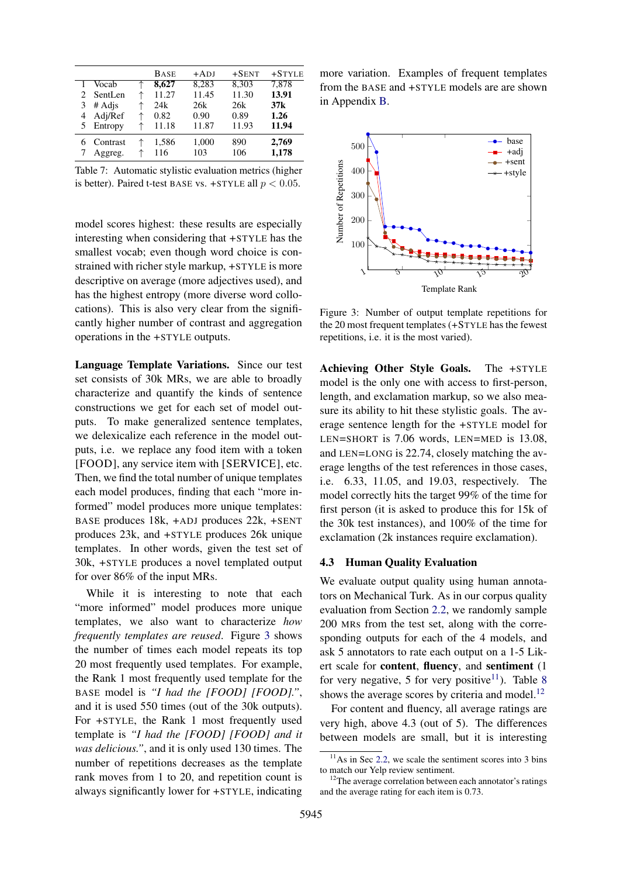<span id="page-7-1"></span>

|   |                             |   | <b>BASE</b> | $+ADI$ | $+$ SENT | $+STYLE$ |
|---|-----------------------------|---|-------------|--------|----------|----------|
|   | Vocab                       |   | 8,627       | 8,283  | 8,303    | 7,878    |
|   | SentLen                     |   | 11.27       | 11.45  | 11.30    | 13.91    |
|   | $# \text{Ad}$ <sub>is</sub> |   | 24k         | 26k    | 26k      | 37k      |
| 4 | Adj/Ref                     | ↑ | 0.82        | 0.90   | 0.89     | 1.26     |
| 5 | Entropy                     |   | 11.18       | 11.87  | 11.93    | 11.94    |
|   | Contrast                    |   | 1,586       | 1,000  | 890      | 2,769    |
|   | Aggreg.                     |   | 116         | 103    | 106      | 1,178    |

Table 7: Automatic stylistic evaluation metrics (higher is better). Paired t-test BASE vs. +STYLE all  $p < 0.05$ .

model scores highest: these results are especially interesting when considering that +STYLE has the smallest vocab; even though word choice is constrained with richer style markup, +STYLE is more descriptive on average (more adjectives used), and has the highest entropy (more diverse word collocations). This is also very clear from the significantly higher number of contrast and aggregation operations in the +STYLE outputs.

Language Template Variations. Since our test set consists of 30k MRs, we are able to broadly characterize and quantify the kinds of sentence constructions we get for each set of model outputs. To make generalized sentence templates, we delexicalize each reference in the model outputs, i.e. we replace any food item with a token [FOOD], any service item with [SERVICE], etc. Then, we find the total number of unique templates each model produces, finding that each "more informed" model produces more unique templates: BASE produces 18k, +ADJ produces 22k, +SENT produces 23k, and +STYLE produces 26k unique templates. In other words, given the test set of 30k, +STYLE produces a novel templated output for over 86% of the input MRs.

While it is interesting to note that each "more informed" model produces more unique templates, we also want to characterize *how frequently templates are reused*. Figure [3](#page-7-2) shows the number of times each model repeats its top 20 most frequently used templates. For example, the Rank 1 most frequently used template for the BASE model is *"I had the [FOOD] [FOOD]."*, and it is used 550 times (out of the 30k outputs). For +STYLE, the Rank 1 most frequently used template is *"I had the [FOOD] [FOOD] and it was delicious."*, and it is only used 130 times. The number of repetitions decreases as the template rank moves from 1 to 20, and repetition count is always significantly lower for +STYLE, indicating

more variation. Examples of frequent templates from the BASE and +STYLE models are are shown in Appendix [B.](#page-11-2)

<span id="page-7-2"></span>

Figure 3: Number of output template repetitions for the 20 most frequent templates (+STYLE has the fewest repetitions, i.e. it is the most varied).

Achieving Other Style Goals. The +STYLE model is the only one with access to first-person, length, and exclamation markup, so we also measure its ability to hit these stylistic goals. The average sentence length for the +STYLE model for LEN=SHORT is 7.06 words, LEN=MED is 13.08, and LEN=LONG is 22.74, closely matching the average lengths of the test references in those cases, i.e. 6.33, 11.05, and 19.03, respectively. The model correctly hits the target 99% of the time for first person (it is asked to produce this for 15k of the 30k test instances), and 100% of the time for exclamation (2k instances require exclamation).

#### <span id="page-7-0"></span>4.3 Human Quality Evaluation

We evaluate output quality using human annotators on Mechanical Turk. As in our corpus quality evaluation from Section [2.2,](#page-3-3) we randomly sample 200 MRs from the test set, along with the corresponding outputs for each of the 4 models, and ask 5 annotators to rate each output on a 1-5 Likert scale for content, fluency, and sentiment (1 for very negative, 5 for very positive<sup>[11](#page-7-3)</sup>). Table [8](#page-8-1) shows the average scores by criteria and model. $^{12}$  $^{12}$  $^{12}$ 

For content and fluency, all average ratings are very high, above 4.3 (out of 5). The differences between models are small, but it is interesting

<span id="page-7-3"></span> $11$ As in Sec [2.2,](#page-3-3) we scale the sentiment scores into 3 bins to match our Yelp review sentiment.

<span id="page-7-4"></span><sup>&</sup>lt;sup>12</sup>The average correlation between each annotator's ratings and the average rating for each item is 0.73.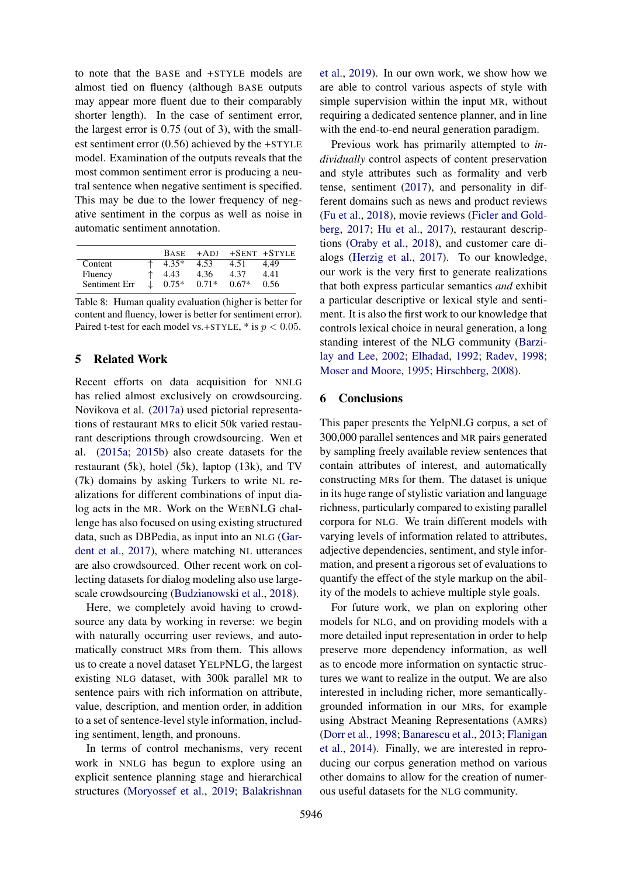to note that the BASE and +STYLE models are almost tied on fluency (although BASE outputs may appear more fluent due to their comparably shorter length). In the case of sentiment error, the largest error is 0.75 (out of 3), with the smallest sentiment error (0.56) achieved by the +STYLE model. Examination of the outputs reveals that the most common sentiment error is producing a neutral sentence when negative sentiment is specified. This may be due to the lower frequency of negative sentiment in the corpus as well as noise in automatic sentiment annotation.

<span id="page-8-1"></span>

|               |    |         |         |         | BASE +ADJ +SENT +STYLE |
|---------------|----|---------|---------|---------|------------------------|
| Content       |    | $4.35*$ | 4.53    | 4.51    | 4.49                   |
| Fluency       |    | 4.43    | 4.36    | 4.37    | 4.41                   |
| Sentiment Err | J. | $0.75*$ | $0.71*$ | $0.67*$ | 0.56                   |

Table 8: Human quality evaluation (higher is better for content and fluency, lower is better for sentiment error). Paired t-test for each model vs.+STYLE,  $*$  is  $p < 0.05$ .

# <span id="page-8-0"></span>5 Related Work

Recent efforts on data acquisition for NNLG has relied almost exclusively on crowdsourcing. Novikova et al. [\(2017a\)](#page-10-3) used pictorial representations of restaurant MRs to elicit 50k varied restaurant descriptions through crowdsourcing. Wen et al. [\(2015a;](#page-10-4) [2015b\)](#page-10-2) also create datasets for the restaurant (5k), hotel (5k), laptop (13k), and TV (7k) domains by asking Turkers to write NL realizations for different combinations of input dialog acts in the MR. Work on the WEBNLG challenge has also focused on using existing structured data, such as DBPedia, as input into an NLG [\(Gar](#page-9-1)[dent et al.,](#page-9-1) [2017\)](#page-9-1), where matching NL utterances are also crowdsourced. Other recent work on collecting datasets for dialog modeling also use largescale crowdsourcing [\(Budzianowski et al.,](#page-9-13) [2018\)](#page-9-13).

Here, we completely avoid having to crowdsource any data by working in reverse: we begin with naturally occurring user reviews, and automatically construct MRs from them. This allows us to create a novel dataset YELPNLG, the largest existing NLG dataset, with 300k parallel MR to sentence pairs with rich information on attribute, value, description, and mention order, in addition to a set of sentence-level style information, including sentiment, length, and pronouns.

In terms of control mechanisms, very recent work in NNLG has begun to explore using an explicit sentence planning stage and hierarchical structures [\(Moryossef et al.,](#page-10-15) [2019;](#page-10-15) [Balakrishnan](#page-9-14)

[et al.,](#page-9-14) [2019\)](#page-9-14). In our own work, we show how we are able to control various aspects of style with simple supervision within the input MR, without requiring a dedicated sentence planner, and in line with the end-to-end neural generation paradigm.

Previous work has primarily attempted to *individually* control aspects of content preservation and style attributes such as formality and verb tense, sentiment [\(2017\)](#page-10-5), and personality in different domains such as news and product reviews [\(Fu et al.,](#page-9-6) [2018\)](#page-9-6), movie reviews [\(Ficler and Gold](#page-9-4)[berg,](#page-9-4) [2017;](#page-9-4) [Hu et al.,](#page-9-3) [2017\)](#page-9-3), restaurant descriptions [\(Oraby et al.,](#page-10-16) [2018\)](#page-10-16), and customer care dialogs [\(Herzig et al.,](#page-9-5) [2017\)](#page-9-5). To our knowledge, our work is the very first to generate realizations that both express particular semantics *and* exhibit a particular descriptive or lexical style and sentiment. It is also the first work to our knowledge that controls lexical choice in neural generation, a long standing interest of the NLG community [\(Barzi](#page-9-15)[lay and Lee,](#page-9-15) [2002;](#page-9-15) [Elhadad,](#page-9-16) [1992;](#page-9-16) [Radev,](#page-10-17) [1998;](#page-10-17) [Moser and Moore,](#page-10-18) [1995;](#page-10-18) [Hirschberg,](#page-9-17) [2008\)](#page-9-17).

#### 6 Conclusions

This paper presents the YelpNLG corpus, a set of 300,000 parallel sentences and MR pairs generated by sampling freely available review sentences that contain attributes of interest, and automatically constructing MRs for them. The dataset is unique in its huge range of stylistic variation and language richness, particularly compared to existing parallel corpora for NLG. We train different models with varying levels of information related to attributes, adjective dependencies, sentiment, and style information, and present a rigorous set of evaluations to quantify the effect of the style markup on the ability of the models to achieve multiple style goals.

For future work, we plan on exploring other models for NLG, and on providing models with a more detailed input representation in order to help preserve more dependency information, as well as to encode more information on syntactic structures we want to realize in the output. We are also interested in including richer, more semanticallygrounded information in our MRs, for example using Abstract Meaning Representations (AMRs) [\(Dorr et al.,](#page-9-18) [1998;](#page-9-18) [Banarescu et al.,](#page-9-19) [2013;](#page-9-19) [Flanigan](#page-9-20) [et al.,](#page-9-20) [2014\)](#page-9-20). Finally, we are interested in reproducing our corpus generation method on various other domains to allow for the creation of numerous useful datasets for the NLG community.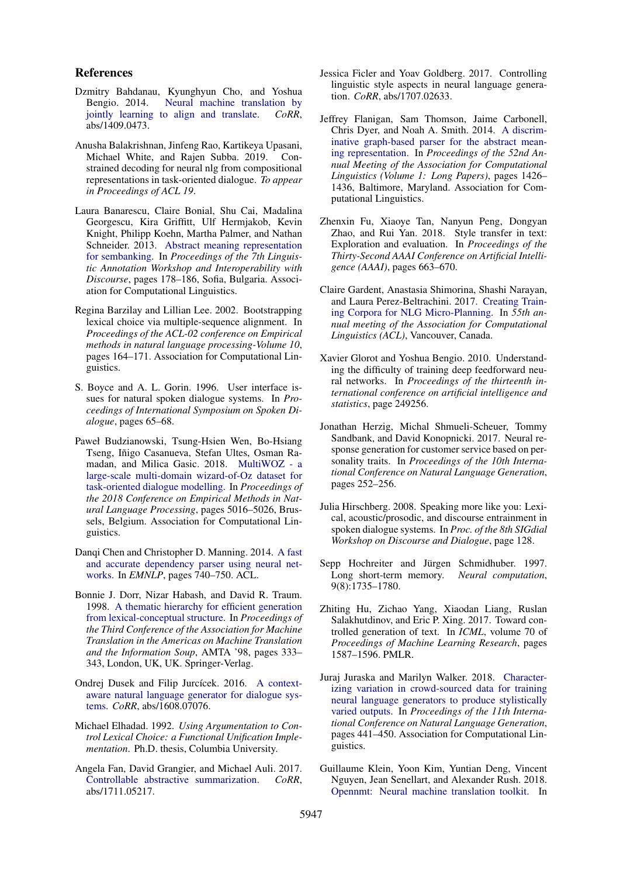#### References

- <span id="page-9-10"></span>Dzmitry Bahdanau, Kyunghyun Cho, and Yoshua Bengio. 2014. [Neural machine translation by](http://arxiv.org/abs/1409.0473) [jointly learning to align and translate.](http://arxiv.org/abs/1409.0473) *CoRR*, abs/1409.0473.
- <span id="page-9-14"></span>Anusha Balakrishnan, Jinfeng Rao, Kartikeya Upasani, Michael White, and Rajen Subba. 2019. Constrained decoding for neural nlg from compositional representations in task-oriented dialogue. *To appear in Proceedings of ACL 19*.
- <span id="page-9-19"></span>Laura Banarescu, Claire Bonial, Shu Cai, Madalina Georgescu, Kira Griffitt, Ulf Hermjakob, Kevin Knight, Philipp Koehn, Martha Palmer, and Nathan Schneider. 2013. [Abstract meaning representation](http://www.aclweb.org/anthology/W13-2322) [for sembanking.](http://www.aclweb.org/anthology/W13-2322) In *Proceedings of the 7th Linguistic Annotation Workshop and Interoperability with Discourse*, pages 178–186, Sofia, Bulgaria. Association for Computational Linguistics.
- <span id="page-9-15"></span>Regina Barzilay and Lillian Lee. 2002. Bootstrapping lexical choice via multiple-sequence alignment. In *Proceedings of the ACL-02 conference on Empirical methods in natural language processing-Volume 10*, pages 164–171. Association for Computational Linguistics.
- <span id="page-9-8"></span>S. Boyce and A. L. Gorin. 1996. User interface issues for natural spoken dialogue systems. In *Proceedings of International Symposium on Spoken Dialogue*, pages 65–68.
- <span id="page-9-13"></span>Paweł Budzianowski, Tsung-Hsien Wen, Bo-Hsiang Tseng, Iñigo Casanueva, Stefan Ultes, Osman Ramadan, and Milica Gasic. 2018. [MultiWOZ - a](https://www.aclweb.org/anthology/D18-1547) [large-scale multi-domain wizard-of-Oz dataset for](https://www.aclweb.org/anthology/D18-1547) [task-oriented dialogue modelling.](https://www.aclweb.org/anthology/D18-1547) In *Proceedings of the 2018 Conference on Empirical Methods in Natural Language Processing*, pages 5016–5026, Brussels, Belgium. Association for Computational Linguistics.
- <span id="page-9-7"></span>Danqi Chen and Christopher D. Manning. 2014. [A fast](http://dblp.uni-trier.de/db/conf/emnlp/emnlp2014.html#ChenM14) [and accurate dependency parser using neural net](http://dblp.uni-trier.de/db/conf/emnlp/emnlp2014.html#ChenM14)[works.](http://dblp.uni-trier.de/db/conf/emnlp/emnlp2014.html#ChenM14) In *EMNLP*, pages 740–750. ACL.
- <span id="page-9-18"></span>Bonnie J. Dorr, Nizar Habash, and David R. Traum. 1998. [A thematic hierarchy for efficient generation](http://dl.acm.org/citation.cfm?id=648179.749214) [from lexical-conceptual structure.](http://dl.acm.org/citation.cfm?id=648179.749214) In *Proceedings of the Third Conference of the Association for Machine Translation in the Americas on Machine Translation and the Information Soup*, AMTA '98, pages 333– 343, London, UK, UK. Springer-Verlag.
- <span id="page-9-0"></span>Ondrej Dusek and Filip Jurcícek. 2016. [A context](http://arxiv.org/abs/1608.07076)[aware natural language generator for dialogue sys](http://arxiv.org/abs/1608.07076)[tems.](http://arxiv.org/abs/1608.07076) *CoRR*, abs/1608.07076.
- <span id="page-9-16"></span>Michael Elhadad. 1992. *Using Argumentation to Control Lexical Choice: a Functional Unification Implementation*. Ph.D. thesis, Columbia University.
- <span id="page-9-2"></span>Angela Fan, David Grangier, and Michael Auli. 2017. [Controllable abstractive summarization.](http://arxiv.org/abs/1711.05217) *CoRR*, abs/1711.05217.
- <span id="page-9-4"></span>Jessica Ficler and Yoav Goldberg. 2017. Controlling linguistic style aspects in neural language generation. *CoRR*, abs/1707.02633.
- <span id="page-9-20"></span>Jeffrey Flanigan, Sam Thomson, Jaime Carbonell, Chris Dyer, and Noah A. Smith. 2014. [A discrim](https://doi.org/10.3115/v1/P14-1134)[inative graph-based parser for the abstract mean](https://doi.org/10.3115/v1/P14-1134)[ing representation.](https://doi.org/10.3115/v1/P14-1134) In *Proceedings of the 52nd Annual Meeting of the Association for Computational Linguistics (Volume 1: Long Papers)*, pages 1426– 1436, Baltimore, Maryland. Association for Computational Linguistics.
- <span id="page-9-6"></span>Zhenxin Fu, Xiaoye Tan, Nanyun Peng, Dongyan Zhao, and Rui Yan. 2018. Style transfer in text: Exploration and evaluation. In *Proceedings of the Thirty-Second AAAI Conference on Artificial Intelligence (AAAI)*, pages 663–670.
- <span id="page-9-1"></span>Claire Gardent, Anastasia Shimorina, Shashi Narayan, and Laura Perez-Beltrachini. 2017. [Creating Train](https://hal.inria.fr/hal-01623744)[ing Corpora for NLG Micro-Planning.](https://hal.inria.fr/hal-01623744) In *55th annual meeting of the Association for Computational Linguistics (ACL)*, Vancouver, Canada.
- <span id="page-9-21"></span>Xavier Glorot and Yoshua Bengio. 2010. Understanding the difficulty of training deep feedforward neural networks. In *Proceedings of the thirteenth international conference on artificial intelligence and statistics*, page 249256.
- <span id="page-9-5"></span>Jonathan Herzig, Michal Shmueli-Scheuer, Tommy Sandbank, and David Konopnicki. 2017. Neural response generation for customer service based on personality traits. In *Proceedings of the 10th International Conference on Natural Language Generation*, pages 252–256.
- <span id="page-9-17"></span>Julia Hirschberg. 2008. Speaking more like you: Lexical, acoustic/prosodic, and discourse entrainment in spoken dialogue systems. In *Proc. of the 8th SIGdial Workshop on Discourse and Dialogue*, page 128.
- <span id="page-9-12"></span>Sepp Hochreiter and Jürgen Schmidhuber. 1997. Long short-term memory. *Neural computation*, 9(8):1735–1780.
- <span id="page-9-3"></span>Zhiting Hu, Zichao Yang, Xiaodan Liang, Ruslan Salakhutdinov, and Eric P. Xing. 2017. Toward controlled generation of text. In *ICML*, volume 70 of *Proceedings of Machine Learning Research*, pages 1587–1596. PMLR.
- <span id="page-9-9"></span>Juraj Juraska and Marilyn Walker. 2018. [Character](http://aclweb.org/anthology/W18-6554)[izing variation in crowd-sourced data for training](http://aclweb.org/anthology/W18-6554) [neural language generators to produce stylistically](http://aclweb.org/anthology/W18-6554) [varied outputs.](http://aclweb.org/anthology/W18-6554) In *Proceedings of the 11th International Conference on Natural Language Generation*, pages 441–450. Association for Computational Linguistics.
- <span id="page-9-11"></span>Guillaume Klein, Yoon Kim, Yuntian Deng, Vincent Nguyen, Jean Senellart, and Alexander Rush. 2018. [Opennmt: Neural machine translation toolkit.](http://aclweb.org/anthology/W18-1817) In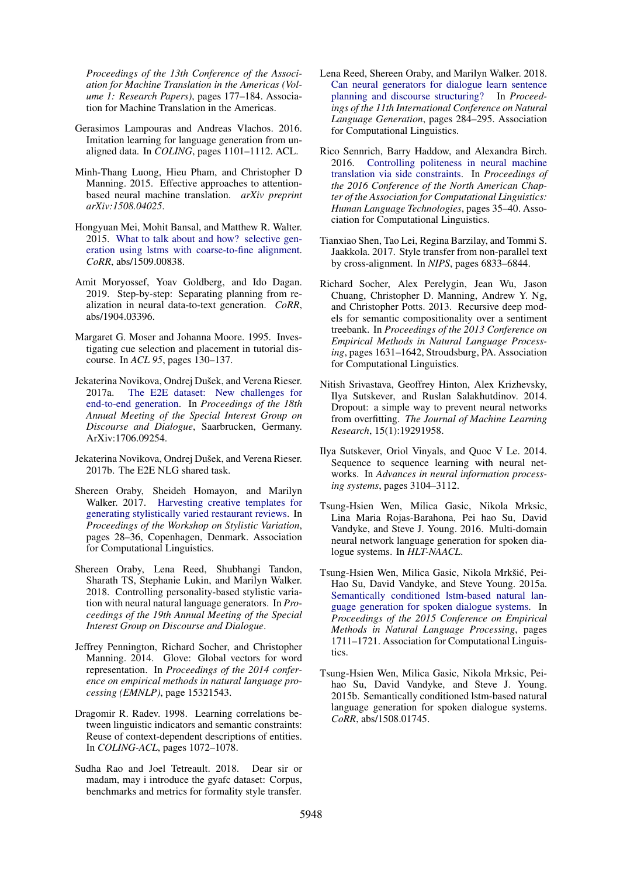*Proceedings of the 13th Conference of the Association for Machine Translation in the Americas (Volume 1: Research Papers)*, pages 177–184. Association for Machine Translation in the Americas.

- <span id="page-10-0"></span>Gerasimos Lampouras and Andreas Vlachos. 2016. Imitation learning for language generation from unaligned data. In *COLING*, pages 1101–1112. ACL.
- <span id="page-10-13"></span>Minh-Thang Luong, Hieu Pham, and Christopher D Manning. 2015. Effective approaches to attentionbased neural machine translation. *arXiv preprint arXiv:1508.04025*.
- <span id="page-10-1"></span>Hongyuan Mei, Mohit Bansal, and Matthew R. Walter. 2015. [What to talk about and how? selective gen](http://arxiv.org/abs/1509.00838)[eration using lstms with coarse-to-fine alignment.](http://arxiv.org/abs/1509.00838) *CoRR*, abs/1509.00838.
- <span id="page-10-15"></span>Amit Moryossef, Yoav Goldberg, and Ido Dagan. 2019. Step-by-step: Separating planning from realization in neural data-to-text generation. *CoRR*, abs/1904.03396.
- <span id="page-10-18"></span>Margaret G. Moser and Johanna Moore. 1995. Investigating cue selection and placement in tutorial discourse. In *ACL 95*, pages 130–137.
- <span id="page-10-3"></span>Jekaterina Novikova, Ondrej Dušek, and Verena Rieser. 2017a. [The E2E dataset: New challenges for](https://arxiv.org/abs/1706.09254) [end-to-end generation.](https://arxiv.org/abs/1706.09254) In *Proceedings of the 18th Annual Meeting of the Special Interest Group on Discourse and Dialogue*, Saarbrucken, Germany. ArXiv:1706.09254.
- <span id="page-10-8"></span>Jekaterina Novikova, Ondrej Dušek, and Verena Rieser. 2017b. The E2E NLG shared task.
- <span id="page-10-7"></span>Shereen Oraby, Sheideh Homayon, and Marilyn Walker. 2017. [Harvesting creative templates for](http://www.aclweb.org/anthology/W17-4904) [generating stylistically varied restaurant reviews.](http://www.aclweb.org/anthology/W17-4904) In *Proceedings of the Workshop on Stylistic Variation*, pages 28–36, Copenhagen, Denmark. Association for Computational Linguistics.
- <span id="page-10-16"></span>Shereen Oraby, Lena Reed, Shubhangi Tandon, Sharath TS, Stephanie Lukin, and Marilyn Walker. 2018. Controlling personality-based stylistic variation with neural natural language generators. In *Proceedings of the 19th Annual Meeting of the Special Interest Group on Discourse and Dialogue*.
- <span id="page-10-20"></span>Jeffrey Pennington, Richard Socher, and Christopher Manning. 2014. Glove: Global vectors for word representation. In *Proceedings of the 2014 conference on empirical methods in natural language processing (EMNLP)*, page 15321543.
- <span id="page-10-17"></span>Dragomir R. Radev. 1998. Learning correlations between linguistic indicators and semantic constraints: Reuse of context-dependent descriptions of entities. In *COLING-ACL*, pages 1072–1078.
- <span id="page-10-6"></span>Sudha Rao and Joel Tetreault. 2018. Dear sir or madam, may i introduce the gyafc dataset: Corpus, benchmarks and metrics for formality style transfer.
- <span id="page-10-14"></span>Lena Reed, Shereen Oraby, and Marilyn Walker. 2018. [Can neural generators for dialogue learn sentence](http://aclweb.org/anthology/W18-6535) [planning and discourse structuring?](http://aclweb.org/anthology/W18-6535) In *Proceedings of the 11th International Conference on Natural Language Generation*, pages 284–295. Association for Computational Linguistics.
- <span id="page-10-12"></span>Rico Sennrich, Barry Haddow, and Alexandra Birch. 2016. [Controlling politeness in neural machine](https://doi.org/10.18653/v1/N16-1005) [translation via side constraints.](https://doi.org/10.18653/v1/N16-1005) In *Proceedings of the 2016 Conference of the North American Chapter of the Association for Computational Linguistics: Human Language Technologies*, pages 35–40. Association for Computational Linguistics.
- <span id="page-10-5"></span>Tianxiao Shen, Tao Lei, Regina Barzilay, and Tommi S. Jaakkola. 2017. Style transfer from non-parallel text by cross-alignment. In *NIPS*, pages 6833–6844.
- <span id="page-10-9"></span>Richard Socher, Alex Perelygin, Jean Wu, Jason Chuang, Christopher D. Manning, Andrew Y. Ng, and Christopher Potts. 2013. Recursive deep models for semantic compositionality over a sentiment treebank. In *Proceedings of the 2013 Conference on Empirical Methods in Natural Language Processing*, pages 1631–1642, Stroudsburg, PA. Association for Computational Linguistics.
- <span id="page-10-19"></span>Nitish Srivastava, Geoffrey Hinton, Alex Krizhevsky, Ilya Sutskever, and Ruslan Salakhutdinov. 2014. Dropout: a simple way to prevent neural networks from overfitting. *The Journal of Machine Learning Research*, 15(1):19291958.
- <span id="page-10-11"></span>Ilya Sutskever, Oriol Vinyals, and Quoc V Le. 2014. Sequence to sequence learning with neural networks. In *Advances in neural information processing systems*, pages 3104–3112.
- <span id="page-10-10"></span>Tsung-Hsien Wen, Milica Gasic, Nikola Mrksic, Lina Maria Rojas-Barahona, Pei hao Su, David Vandyke, and Steve J. Young. 2016. Multi-domain neural network language generation for spoken dialogue systems. In *HLT-NAACL*.
- <span id="page-10-4"></span>Tsung-Hsien Wen, Milica Gasic, Nikola Mrkšić, Pei-Hao Su, David Vandyke, and Steve Young. 2015a. [Semantically conditioned lstm-based natural lan](https://doi.org/10.18653/v1/D15-1199)[guage generation for spoken dialogue systems.](https://doi.org/10.18653/v1/D15-1199) In *Proceedings of the 2015 Conference on Empirical Methods in Natural Language Processing*, pages 1711–1721. Association for Computational Linguistics.
- <span id="page-10-2"></span>Tsung-Hsien Wen, Milica Gasic, Nikola Mrksic, Peihao Su, David Vandyke, and Steve J. Young. 2015b. Semantically conditioned lstm-based natural language generation for spoken dialogue systems. *CoRR*, abs/1508.01745.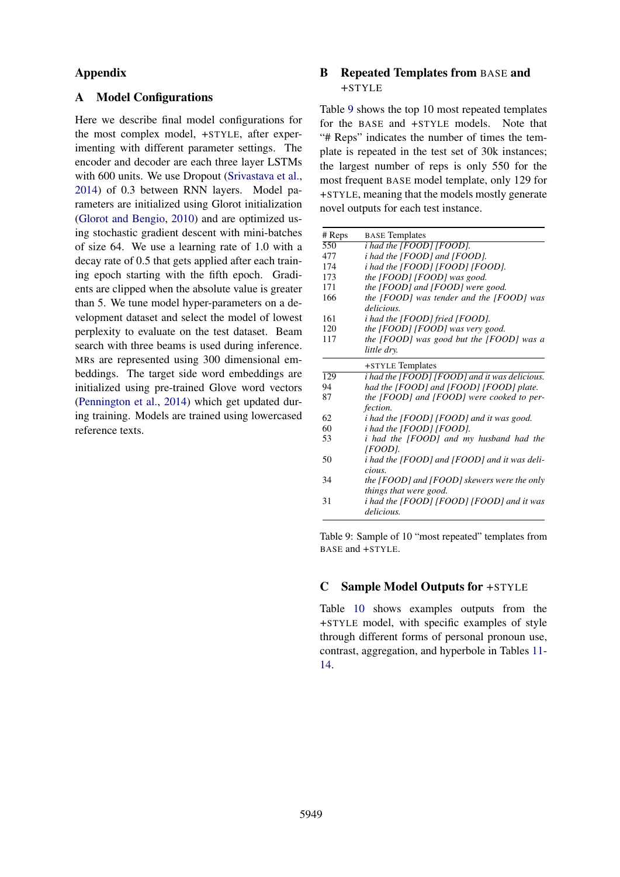# Appendix

# <span id="page-11-0"></span>A Model Configurations

Here we describe final model configurations for the most complex model, +STYLE, after experimenting with different parameter settings. The encoder and decoder are each three layer LSTMs with 600 units. We use Dropout [\(Srivastava et al.,](#page-10-19) [2014\)](#page-10-19) of 0.3 between RNN layers. Model parameters are initialized using Glorot initialization [\(Glorot and Bengio,](#page-9-21) [2010\)](#page-9-21) and are optimized using stochastic gradient descent with mini-batches of size 64. We use a learning rate of 1.0 with a decay rate of 0.5 that gets applied after each training epoch starting with the fifth epoch. Gradients are clipped when the absolute value is greater than 5. We tune model hyper-parameters on a development dataset and select the model of lowest perplexity to evaluate on the test dataset. Beam search with three beams is used during inference. MRs are represented using 300 dimensional embeddings. The target side word embeddings are initialized using pre-trained Glove word vectors [\(Pennington et al.,](#page-10-20) [2014\)](#page-10-20) which get updated during training. Models are trained using lowercased reference texts.

# <span id="page-11-2"></span>B Repeated Templates from BASE and +STYLE

Table [9](#page-11-3) shows the top 10 most repeated templates for the BASE and +STYLE models. Note that "# Reps" indicates the number of times the template is repeated in the test set of 30k instances; the largest number of reps is only 550 for the most frequent BASE model template, only 129 for +STYLE, meaning that the models mostly generate novel outputs for each test instance.

<span id="page-11-3"></span>

| # Reps           | <b>BASE</b> Templates                                |
|------------------|------------------------------------------------------|
| 550              | <i>i</i> had the [FOOD] [FOOD].                      |
| 477              | <i>i</i> had the [FOOD] and [FOOD].                  |
| 174              | i had the [FOOD] [FOOD] [FOOD].                      |
| 173              | the [FOOD] [FOOD] was good.                          |
| 171              | the [FOOD] and [FOOD] were good.                     |
| 166              | the [FOOD] was tender and the [FOOD] was             |
|                  | delicious.                                           |
| 161              | <i>i</i> had the [FOOD] fried [FOOD].                |
| 120              | the [FOOD] [FOOD] was very good.                     |
| 117              | the [FOOD] was good but the [FOOD] was a             |
|                  | little dry.                                          |
|                  | +STYLE Templates                                     |
| $\overline{129}$ | <i>i</i> had the [FOOD] [FOOD] and it was delicious. |
| 94               | had the [FOOD] and [FOOD] [FOOD] plate.              |
| 87               | the [FOOD] and [FOOD] were cooked to per-            |
|                  | <i>fection.</i>                                      |
| 62               | <i>i</i> had the [FOOD] [FOOD] and it was good.      |
| 60               | <i>i</i> had the [FOOD] [FOOD].                      |
| 53               | i had the [FOOD] and my husband had the              |
|                  | [FOOD].                                              |
| 50               | <i>i</i> had the [FOOD] and [FOOD] and it was deli-  |
|                  | cious.                                               |
| 34               | the [FOOD] and [FOOD] skewers were the only          |
|                  | things that were good.                               |
| 31               | i had the [FOOD] [FOOD] [FOOD] and it was            |
|                  | delicious.                                           |

Table 9: Sample of 10 "most repeated" templates from BASE and +STYLE.

### <span id="page-11-1"></span>C Sample Model Outputs for +STYLE

Table [10](#page-12-0) shows examples outputs from the +STYLE model, with specific examples of style through different forms of personal pronoun use, contrast, aggregation, and hyperbole in Tables [11-](#page-12-1) [14.](#page-13-0)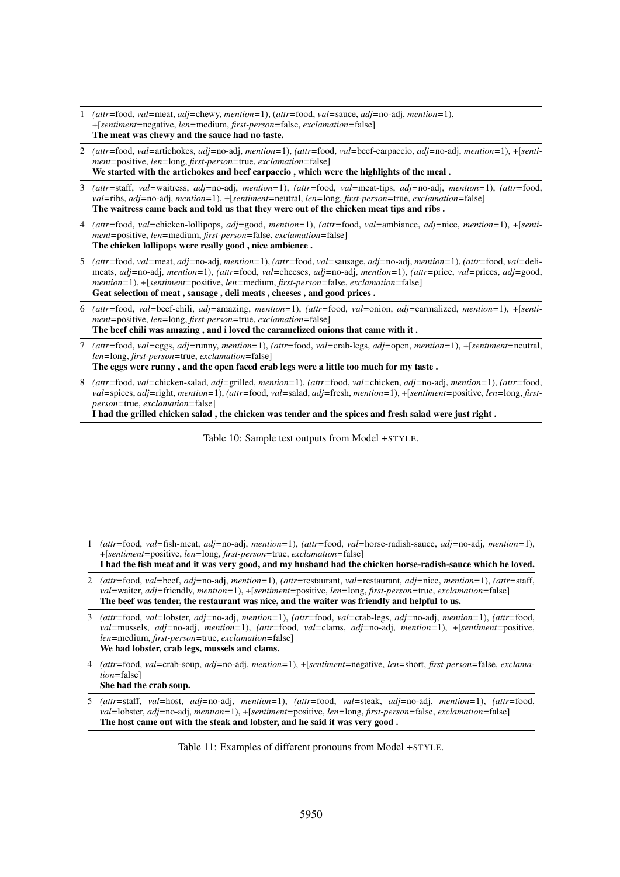- <span id="page-12-0"></span>1 *(attr=*food, *val=*meat, *adj=*chewy, *mention=*1), (*attr=*food, *val=*sauce, *adj=*no-adj, *mention=*1), +[*sentiment=*negative, *len=*medium, *first-person=*false, *exclamation=*false] The meat was chewy and the sauce had no taste.
- 2 *(attr=*food, *val=*artichokes, *adj=*no-adj, *mention=*1), *(attr=*food, *val=*beef-carpaccio, *adj=*no-adj, *mention=*1), +[*sentiment=*positive, *len=*long, *first-person=*true, *exclamation=*false] We started with the artichokes and beef carpaccio , which were the highlights of the meal .
- 3 *(attr=*staff, *val=*waitress, *adj=*no-adj, *mention=*1), *(attr=*food, *val=*meat-tips, *adj=*no-adj, *mention=*1), *(attr=*food, *val=*ribs, *adj=*no-adj, *mention=*1), +[*sentiment=*neutral, *len=*long, *first-person=*true, *exclamation=*false] The waitress came back and told us that they were out of the chicken meat tips and ribs .
- 4 *(attr=*food, *val=*chicken-lollipops, *adj=*good, *mention=*1), *(attr=*food, *val=*ambiance, *adj=*nice, *mention=*1), +[*sentiment=*positive, *len=*medium, *first-person=*false, *exclamation=*false] The chicken lollipops were really good , nice ambience .
- 5 *(attr=*food, *val=*meat, *adj=*no-adj, *mention=*1), *(attr=*food, *val=*sausage, *adj=*no-adj, *mention=*1), *(attr=*food, *val=*delimeats, *adj=*no-adj, *mention=*1), *(attr=*food, *val=*cheeses, *adj=*no-adj, *mention=*1), *(attr=*price, *val=*prices, *adj=*good, *mention=*1), +[*sentiment=*positive, *len=*medium, *first-person=*false, *exclamation=*false] Geat selection of meat , sausage , deli meats , cheeses , and good prices .
- 6 *(attr=*food, *val=*beef-chili, *adj=*amazing, *mention=*1), *(attr=*food, *val=*onion, *adj=*carmalized, *mention=*1), +[*sentiment=*positive, *len=*long, *first-person=*true, *exclamation=*false] The beef chili was amazing , and i loved the caramelized onions that came with it .
- 7 *(attr=*food, *val=*eggs, *adj=*runny, *mention=*1), *(attr=*food, *val=*crab-legs, *adj=*open, *mention=*1), +[*sentiment=*neutral, *len=*long, *first-person=*true, *exclamation=*false]

The eggs were runny , and the open faced crab legs were a little too much for my taste .

8 *(attr=*food, *val=*chicken-salad, *adj=*grilled, *mention=*1), *(attr=*food, *val=*chicken, *adj=*no-adj, *mention=*1), *(attr=*food, *val=*spices, *adj=*right, *mention=*1), *(attr=*food, *val=*salad, *adj=*fresh, *mention=*1), +[*sentiment=*positive, *len=*long, *firstperson=*true, *exclamation=*false]

I had the grilled chicken salad , the chicken was tender and the spices and fresh salad were just right .

Table 10: Sample test outputs from Model +STYLE.

- <span id="page-12-1"></span>1 *(attr=*food, *val=*fish-meat, *adj=*no-adj, *mention=*1), *(attr=*food, *val=*horse-radish-sauce, *adj=*no-adj, *mention=*1), +[*sentiment=*positive, *len=*long, *first-person=*true, *exclamation=*false]
- I had the fish meat and it was very good, and my husband had the chicken horse-radish-sauce which he loved. 2 *(attr=*food, *val=*beef, *adj=*no-adj, *mention=*1), *(attr=*restaurant, *val=*restaurant, *adj=*nice, *mention=*1), *(attr=*staff,
- *val=*waiter, *adj=*friendly, *mention=*1), +[*sentiment=*positive, *len=*long, *first-person=*true, *exclamation=*false] The beef was tender, the restaurant was nice, and the waiter was friendly and helpful to us.
- 3 *(attr=*food, *val=*lobster, *adj=*no-adj, *mention=*1), *(attr=*food, *val=*crab-legs, *adj=*no-adj, *mention=*1), *(attr=*food, *val=*mussels, *adj=*no-adj, *mention=*1), *(attr=*food, *val=*clams, *adj=*no-adj, *mention=*1), +[*sentiment=*positive, *len=*medium, *first-person=*true, *exclamation=*false] We had lobster, crab legs, mussels and clams.

4 *(attr=*food, *val=*crab-soup, *adj=*no-adj, *mention=*1), +[*sentiment=*negative, *len=*short, *first-person=*false, *exclamation=*false]

- She had the crab soup.
- 5 *(attr=*staff, *val=*host, *adj=*no-adj, *mention=*1), *(attr=*food, *val=*steak, *adj=*no-adj, *mention=*1), *(attr=*food, *val=*lobster, *adj=*no-adj, *mention=*1), +[*sentiment=*positive, *len=*long, *first-person=*false, *exclamation=*false] The host came out with the steak and lobster, and he said it was very good .

Table 11: Examples of different pronouns from Model +STYLE.